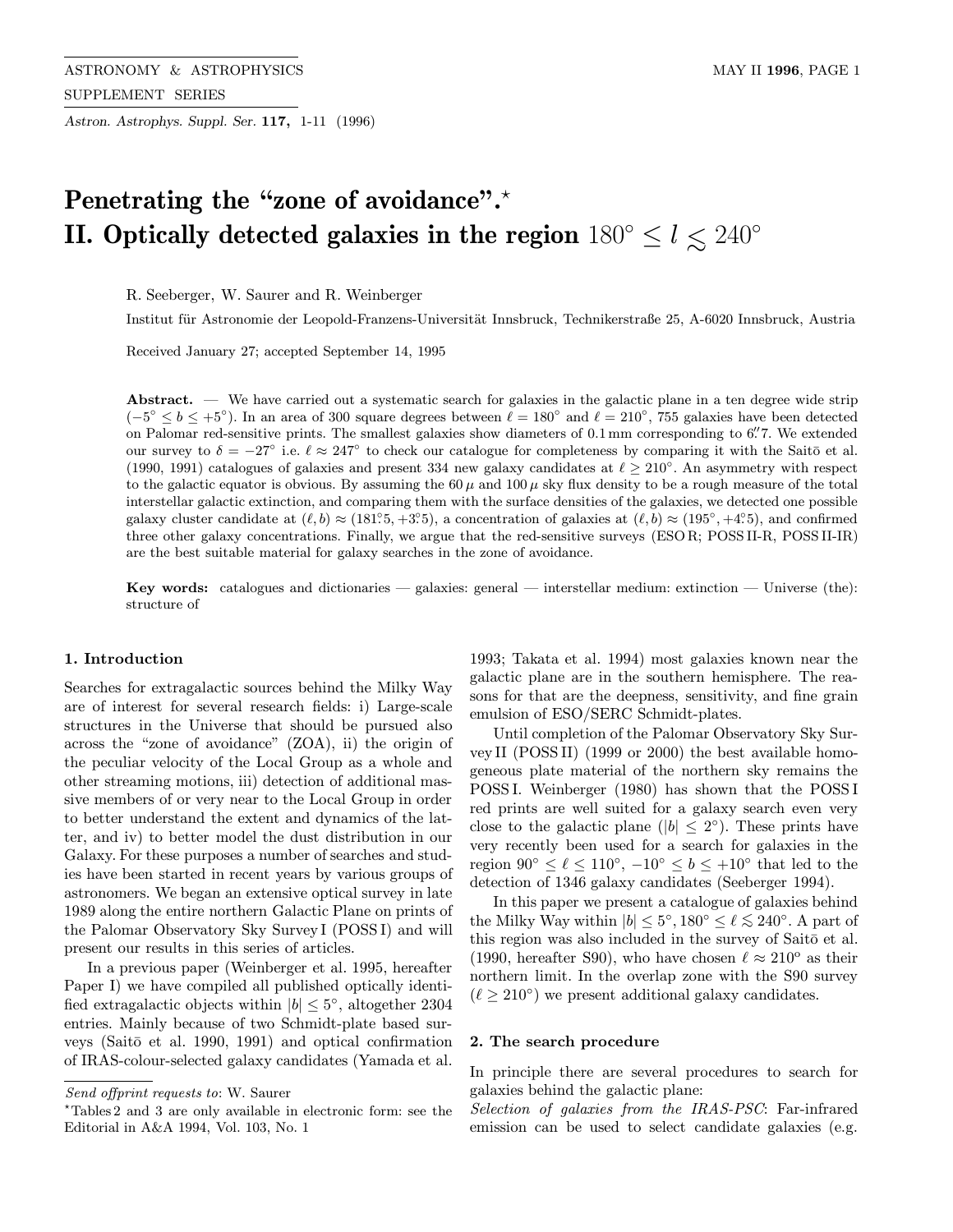Astron. Astrophys. Suppl. Ser. 117, 1-11 (1996)

# Penetrating the "zone of avoidance".<sup>\*</sup> II. Optically detected galaxies in the region  $180^{\circ} \le l \lesssim 240^{\circ}$

R. Seeberger, W. Saurer and R. Weinberger

Institut für Astronomie der Leopold-Franzens-Universität Innsbruck, Technikerstraße 25, A-6020 Innsbruck, Austria

Received January 27; accepted September 14, 1995

Abstract.  $-$  We have carried out a systematic search for galaxies in the galactic plane in a ten degree wide strip  $(-5° \le b \le +5°)$ . In an area of 300 square degrees between  $\ell = 180°$  and  $\ell = 210°$ , 755 galaxies have been detected on Palomar red-sensitive prints. The smallest galaxies show diameters of 0.1 mm corresponding to 6". T. We extended our survey to  $\delta = -27^{\circ}$  i.e.  $\ell \approx 247^{\circ}$  to check our catalogue for completeness by comparing it with the Saitō et al. (1990, 1991) catalogues of galaxies and present 334 new galaxy candidates at  $\ell > 210°$ . An asymmetry with respect to the galactic equator is obvious. By assuming the 60  $\mu$  and 100  $\mu$  sky flux density to be a rough measure of the total interstellar galactic extinction, and comparing them with the surface densities of the galaxies, we detected one possible galaxy cluster candidate at  $(\ell, b) \approx (181^\circ.5, +3^\circ.5)$ , a concentration of galaxies at  $(\ell, b) \approx (195^\circ, +4^\circ.5)$ , and confirmed three other galaxy concentrations. Finally, we argue that the red-sensitive surveys (ESO R; POSS II-R, POSS II-IR) are the best suitable material for galaxy searches in the zone of avoidance.

Key words: catalogues and dictionaries — galaxies: general — interstellar medium: extinction — Universe (the): structure of

## 1. Introduction

Searches for extragalactic sources behind the Milky Way are of interest for several research fields: i) Large-scale structures in the Universe that should be pursued also across the "zone of avoidance" (ZOA), ii) the origin of the peculiar velocity of the Local Group as a whole and other streaming motions, iii) detection of additional massive members of or very near to the Local Group in order to better understand the extent and dynamics of the latter, and iv) to better model the dust distribution in our Galaxy. For these purposes a number of searches and studies have been started in recent years by various groups of astronomers. We began an extensive optical survey in late 1989 along the entire northern Galactic Plane on prints of the Palomar Observatory Sky Survey I (POSS I) and will present our results in this series of articles.

In a previous paper (Weinberger et al. 1995, hereafter Paper I) we have compiled all published optically identified extragalactic objects within  $|b| \leq 5^{\circ}$ , altogether 2304 entries. Mainly because of two Schmidt-plate based surveys (Saitō et al. 1990, 1991) and optical confirmation of IRAS-colour-selected galaxy candidates (Yamada et al. 1993; Takata et al. 1994) most galaxies known near the galactic plane are in the southern hemisphere. The reasons for that are the deepness, sensitivity, and fine grain emulsion of ESO/SERC Schmidt-plates.

Until completion of the Palomar Observatory Sky Survey II (POSS II) (1999 or 2000) the best available homogeneous plate material of the northern sky remains the POSS I. Weinberger (1980) has shown that the POSS I red prints are well suited for a galaxy search even very close to the galactic plane ( $|b| \leq 2^{\circ}$ ). These prints have very recently been used for a search for galaxies in the region  $90° \le \ell \le 110°$ ,  $-10° \le b \le +10°$  that led to the detection of 1346 galaxy candidates (Seeberger 1994).

In this paper we present a catalogue of galaxies behind the Milky Way within  $|b| \leq 5^{\circ}, 180^{\circ} \leq \ell \lesssim 240^{\circ}$ . A part of this region was also included in the survey of Saitō et al. (1990, hereafter S90), who have chosen  $\ell \approx 210^{\circ}$  as their northern limit. In the overlap zone with the S90 survey  $(\ell \geq 210^{\circ})$  we present additional galaxy candidates.

## 2. The search procedure

In principle there are several procedures to search for galaxies behind the galactic plane:

Selection of galaxies from the IRAS-PSC: Far-infrared emission can be used to select candidate galaxies (e.g.

Send offprint requests to: W. Saurer

<sup>?</sup>Tables 2 and 3 are only available in electronic form: see the Editorial in A&A 1994, Vol. 103, No. 1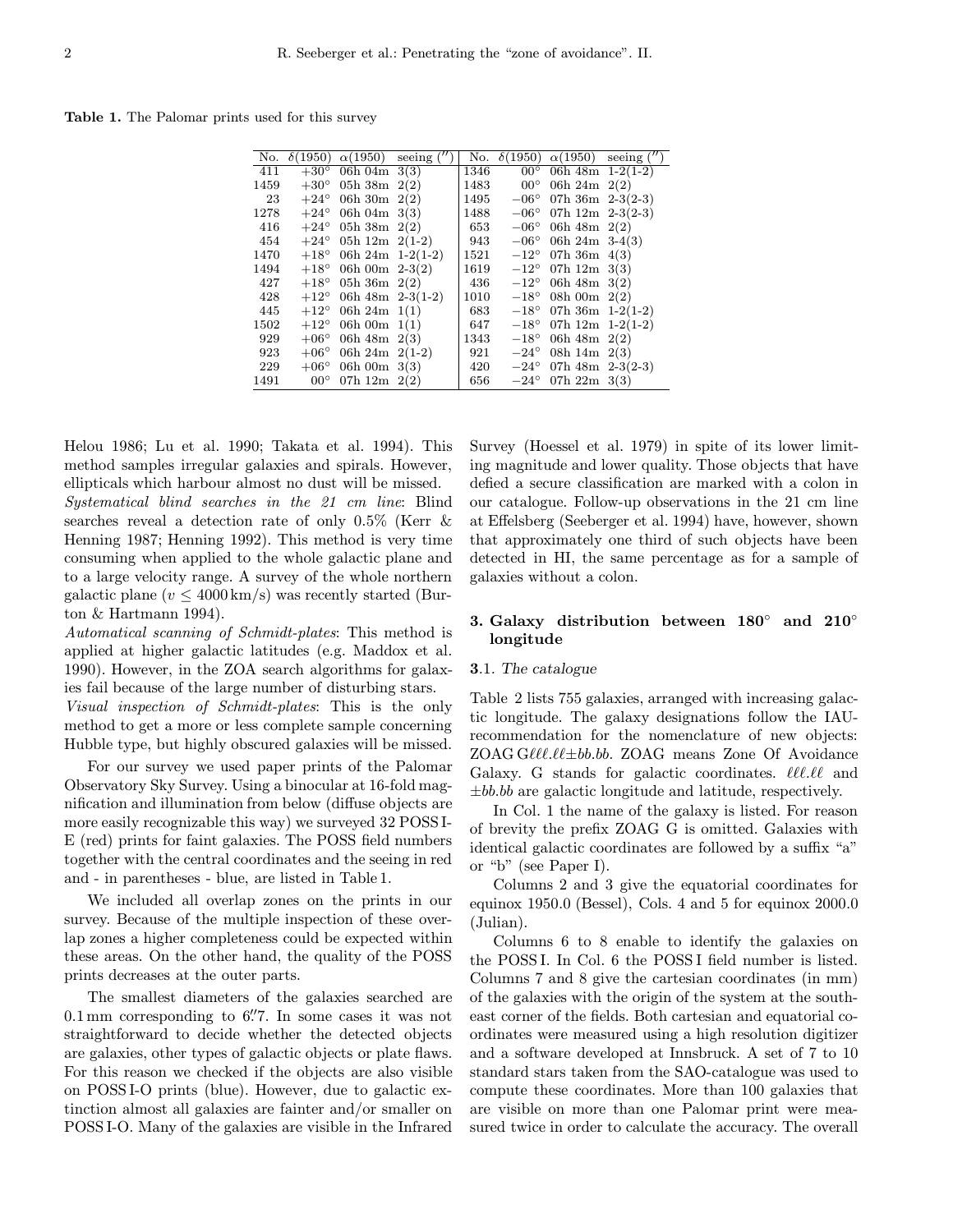Table 1. The Palomar prints used for this survey

| No.  | $\delta(1950)$ | $\alpha(1950)$                 | seeing | No.  | $\delta(1950)$ | $\alpha(1950)$           | seeing $($ " |
|------|----------------|--------------------------------|--------|------|----------------|--------------------------|--------------|
| 411  | $+30^{\circ}$  | 06h 04m $3(3)$                 |        | 1346 | $00^{\circ}$   | 06h $48m \quad 1-2(1-2)$ |              |
| 1459 | $+30^{\circ}$  | 05h 38m $2(2)$                 |        | 1483 | $00^{\circ}$   | 06h 24m $2(2)$           |              |
| 23   | $+24^{\circ}$  | 06h 30m $2(2)$                 |        | 1495 | $-06^{\circ}$  | 07h $36m$ 2-3(2-3)       |              |
| 1278 | $+24^{\circ}$  | 06h 04m $3(3)$                 |        | 1488 | $-06^{\circ}$  | 07h $12m$ 2-3(2-3)       |              |
| 416  |                | $+24^{\circ}$ 05h 38m 2(2)     |        | 653  | $-06^{\circ}$  | 06h 48m $2(2)$           |              |
| 454  | $+24^{\circ}$  | 05h 12m $2(1-2)$               |        | 943  | $-06^{\circ}$  | 06h 24m $3-4(3)$         |              |
| 1470 |                | $+18^{\circ}$ 06h 24m 1-2(1-2) |        | 1521 | $-12^{\circ}$  | 07h 36m $4(3)$           |              |
| 1494 | $+18^{\circ}$  | 06h 00m $2-3(2)$               |        | 1619 | $-12^{\circ}$  | 07h $12m \; 3(3)$        |              |
| 427  | $+18^{\circ}$  | 05h 36m $2(2)$                 |        | 436  | $-12^{\circ}$  | 06h $48m \; 3(2)$        |              |
| 428  | $+12^{\circ}$  | 06h $48m \ 2-3(1-2)$           |        | 1010 | $-18^{\circ}$  | 08h 00m $2(2)$           |              |
| 445  | $+12^{\circ}$  | 06h 24m $1(1)$                 |        | 683  | $-18^{\circ}$  | 07h 36m $1-2(1-2)$       |              |
| 1502 | $+12^{\circ}$  | 06h 00m $1(1)$                 |        | 647  | $-18^{\circ}$  | 07h $12m \quad 1-2(1-2)$ |              |
| 929  | $+06^{\circ}$  | 06h $48m \; 2(3)$              |        | 1343 | $-18^{\circ}$  | 06h 48m $2(2)$           |              |
| 923  | $+06^{\circ}$  | 06h 24m $2(1-2)$               |        | 921  | $-24^{\circ}$  | 08h 14m $2(3)$           |              |
| 229  | $+06^{\circ}$  | 06h 00m $3(3)$                 |        | 420  | $-24^{\circ}$  | 07h $48m$ 2-3(2-3)       |              |
| 1491 | $00^{\circ}$   | 07h $12m$ $2(2)$               |        | 656  | $-24^{\circ}$  | 07h $22m \; 3(3)$        |              |

Helou 1986; Lu et al. 1990; Takata et al. 1994). This method samples irregular galaxies and spirals. However, ellipticals which harbour almost no dust will be missed. Systematical blind searches in the 21 cm line: Blind searches reveal a detection rate of only 0.5% (Kerr & Henning 1987; Henning 1992). This method is very time consuming when applied to the whole galactic plane and to a large velocity range. A survey of the whole northern galactic plane ( $v \leq 4000 \,\mathrm{km/s}$ ) was recently started (Burton & Hartmann 1994).

Automatical scanning of Schmidt-plates: This method is applied at higher galactic latitudes (e.g. Maddox et al. 1990). However, in the ZOA search algorithms for galaxies fail because of the large number of disturbing stars. Visual inspection of Schmidt-plates: This is the only

method to get a more or less complete sample concerning Hubble type, but highly obscured galaxies will be missed.

For our survey we used paper prints of the Palomar Observatory Sky Survey. Using a binocular at 16-fold magnification and illumination from below (diffuse objects are more easily recognizable this way) we surveyed 32 POSS I-E (red) prints for faint galaxies. The POSS field numbers together with the central coordinates and the seeing in red and - in parentheses - blue, are listed in Table 1.

We included all overlap zones on the prints in our survey. Because of the multiple inspection of these overlap zones a higher completeness could be expected within these areas. On the other hand, the quality of the POSS prints decreases at the outer parts.

The smallest diameters of the galaxies searched are  $0.1 \,\mathrm{mm}$  corresponding to  $6\rlap{.}''7$ . In some cases it was not straightforward to decide whether the detected objects are galaxies, other types of galactic objects or plate flaws. For this reason we checked if the objects are also visible on POSS I-O prints (blue). However, due to galactic extinction almost all galaxies are fainter and/or smaller on POSS I-O. Many of the galaxies are visible in the Infrared Survey (Hoessel et al. 1979) in spite of its lower limiting magnitude and lower quality. Those objects that have defied a secure classification are marked with a colon in our catalogue. Follow-up observations in the 21 cm line at Effelsberg (Seeberger et al. 1994) have, however, shown that approximately one third of such objects have been detected in HI, the same percentage as for a sample of galaxies without a colon.

# 3. Galaxy distribution between 180◦ and 210◦ longitude

# 3.1. The catalogue

Table 2 lists 755 galaxies, arranged with increasing galactic longitude. The galaxy designations follow the IAUrecommendation for the nomenclature of new objects: ZOAG G $\ell\ell\ell\ell\pm bb.bb$ . ZOAG means Zone Of Avoidance Galaxy. G stands for galactic coordinates.  $\ell\ell\ell\ell\ell$  and  $\pm bb.bb$  are galactic longitude and latitude, respectively.

In Col. 1 the name of the galaxy is listed. For reason of brevity the prefix ZOAG G is omitted. Galaxies with identical galactic coordinates are followed by a suffix "a" or "b" (see Paper I).

Columns 2 and 3 give the equatorial coordinates for equinox 1950.0 (Bessel), Cols. 4 and 5 for equinox 2000.0 (Julian).

Columns 6 to 8 enable to identify the galaxies on the POSS I. In Col. 6 the POSS I field number is listed. Columns 7 and 8 give the cartesian coordinates (in mm) of the galaxies with the origin of the system at the southeast corner of the fields. Both cartesian and equatorial coordinates were measured using a high resolution digitizer and a software developed at Innsbruck. A set of 7 to 10 standard stars taken from the SAO-catalogue was used to compute these coordinates. More than 100 galaxies that are visible on more than one Palomar print were measured twice in order to calculate the accuracy. The overall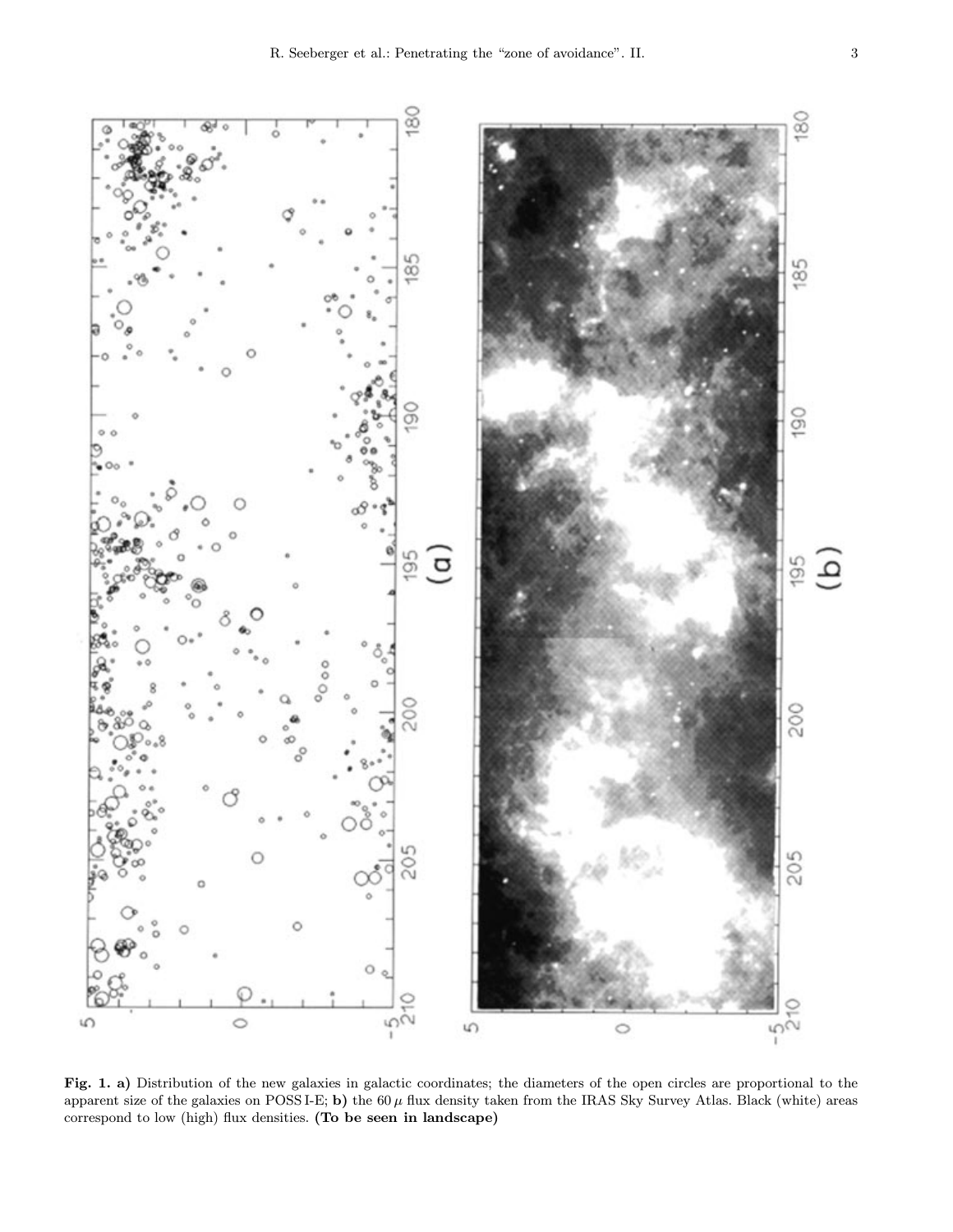



Fig. 1. a) Distribution of the new galaxies in galactic coordinates; the diameters of the open circles are proportional to the apparent size of the galaxies on POSS I-E; b) the  $60 \mu$  flux density taken from the IRAS Sky Survey Atlas. Black (white) areas correspond to low (high) flux densities. (To be seen in landscape)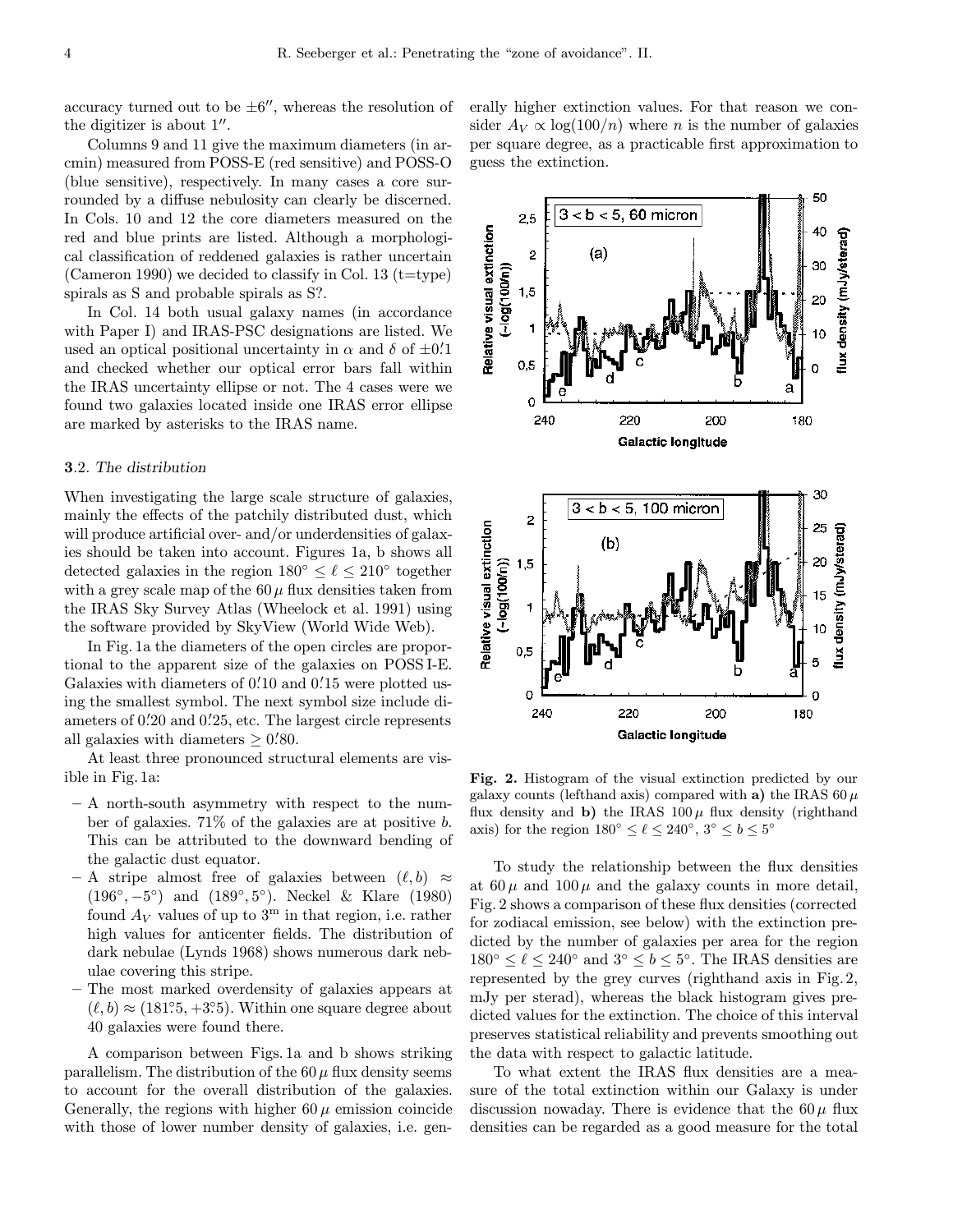accuracy turned out to be  $\pm 6$ ", whereas the resolution of the digitizer is about  $1^{\prime\prime}$ .

Columns 9 and 11 give the maximum diameters (in arcmin) measured from POSS-E (red sensitive) and POSS-O (blue sensitive), respectively. In many cases a core surrounded by a diffuse nebulosity can clearly be discerned. In Cols. 10 and 12 the core diameters measured on the red and blue prints are listed. Although a morphological classification of reddened galaxies is rather uncertain (Cameron 1990) we decided to classify in Col. 13 ( $t$ =type) spirals as S and probable spirals as S?.

In Col. 14 both usual galaxy names (in accordance with Paper I) and IRAS-PSC designations are listed. We used an optical positional uncertainty in  $\alpha$  and  $\delta$  of  $\pm 0.1$ and checked whether our optical error bars fall within the IRAS uncertainty ellipse or not. The 4 cases were we found two galaxies located inside one IRAS error ellipse are marked by asterisks to the IRAS name.

## 3.2. The distribution

When investigating the large scale structure of galaxies, mainly the effects of the patchily distributed dust, which will produce artificial over- and/or underdensities of galaxies should be taken into account. Figures 1a, b shows all detected galaxies in the region  $180^\circ \leq \ell \leq 210^\circ$  together with a grey scale map of the  $60 \mu$  flux densities taken from the IRAS Sky Survey Atlas (Wheelock et al. 1991) using the software provided by SkyView (World Wide Web).

In Fig. 1a the diameters of the open circles are proportional to the apparent size of the galaxies on POSS I-E. Galaxies with diameters of 0.'10 and 0.'15 were plotted using the smallest symbol. The next symbol size include diameters of 0.'20 and 0.'25, etc. The largest circle represents all galaxies with diameters  $\geq 0.80$ .

At least three pronounced structural elements are visible in Fig. 1a:

- A north-south asymmetry with respect to the number of galaxies. 71% of the galaxies are at positive b. This can be attributed to the downward bending of the galactic dust equator.
- A stripe almost free of galaxies between  $(\ell, b) \approx$ (196◦, −5◦) and (189◦, 5◦). Neckel & Klare (1980) found  $A_V$  values of up to  $3<sup>m</sup>$  in that region, i.e. rather high values for anticenter fields. The distribution of dark nebulae (Lynds 1968) shows numerous dark nebulae covering this stripe.
- The most marked overdensity of galaxies appears at  $(\ell, b) \approx (181.5, +3.5)$ . Within one square degree about 40 galaxies were found there.

A comparison between Figs. 1a and b shows striking parallelism. The distribution of the  $60 \mu$  flux density seems to account for the overall distribution of the galaxies. Generally, the regions with higher  $60 \mu$  emission coincide with those of lower number density of galaxies, i.e. generally higher extinction values. For that reason we consider  $A_V \propto \log(100/n)$  where *n* is the number of galaxies per square degree, as a practicable first approximation to guess the extinction.

50



Fig. 2. Histogram of the visual extinction predicted by our galaxy counts (lefthand axis) compared with a) the IRAS 60  $\mu$ flux density and b) the IRAS  $100 \mu$  flux density (righthand axis) for the region  $180^\circ \leq \ell \leq 240^\circ$ ,  $3^\circ \leq b \leq 5^\circ$ 

To study the relationship between the flux densities at  $60 \mu$  and  $100 \mu$  and the galaxy counts in more detail, Fig. 2 shows a comparison of these flux densities (corrected for zodiacal emission, see below) with the extinction predicted by the number of galaxies per area for the region  $180° \le \ell \le 240°$  and  $3° \le b \le 5°$ . The IRAS densities are represented by the grey curves (righthand axis in Fig. 2, mJy per sterad), whereas the black histogram gives predicted values for the extinction. The choice of this interval preserves statistical reliability and prevents smoothing out the data with respect to galactic latitude.

To what extent the IRAS flux densities are a measure of the total extinction within our Galaxy is under discussion nowaday. There is evidence that the  $60\,\mu$  flux densities can be regarded as a good measure for the total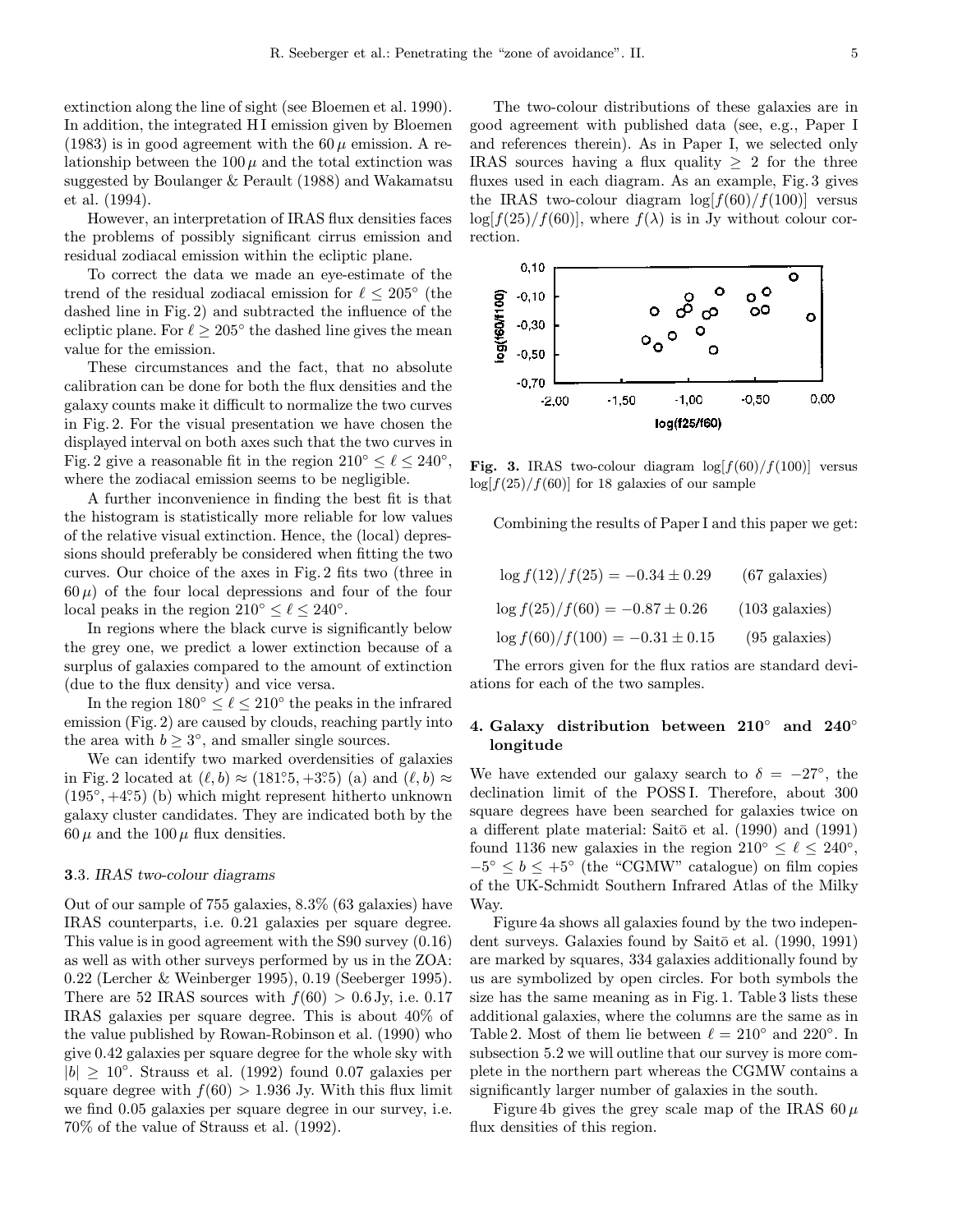extinction along the line of sight (see Bloemen et al. 1990). In addition, the integrated H I emission given by Bloemen (1983) is in good agreement with the  $60\,\mu$  emission. A relationship between the  $100\,\mu$  and the total extinction was suggested by Boulanger & Perault (1988) and Wakamatsu et al. (1994).

However, an interpretation of IRAS flux densities faces the problems of possibly significant cirrus emission and residual zodiacal emission within the ecliptic plane.

To correct the data we made an eye-estimate of the trend of the residual zodiacal emission for  $\ell \leq 205^{\circ}$  (the dashed line in Fig. 2) and subtracted the influence of the ecliptic plane. For  $\ell \geq 205^{\circ}$  the dashed line gives the mean value for the emission.

These circumstances and the fact, that no absolute calibration can be done for both the flux densities and the galaxy counts make it difficult to normalize the two curves in Fig. 2. For the visual presentation we have chosen the displayed interval on both axes such that the two curves in Fig. 2 give a reasonable fit in the region  $210^{\circ} \le \ell \le 240^{\circ}$ , where the zodiacal emission seems to be negligible.

A further inconvenience in finding the best fit is that the histogram is statistically more reliable for low values of the relative visual extinction. Hence, the (local) depressions should preferably be considered when fitting the two curves. Our choice of the axes in Fig. 2 fits two (three in  $60\,\mu$ ) of the four local depressions and four of the four local peaks in the region  $210° \le \ell \le 240°$ .

In regions where the black curve is significantly below the grey one, we predict a lower extinction because of a surplus of galaxies compared to the amount of extinction (due to the flux density) and vice versa.

In the region  $180° < \ell < 210°$  the peaks in the infrared emission (Fig. 2) are caused by clouds, reaching partly into the area with  $b \geq 3^{\circ}$ , and smaller single sources.

We can identify two marked overdensities of galaxies in Fig. 2 located at  $(\ell, b) \approx (181^{\circ}5, +3^{\circ}5)$  (a) and  $(\ell, b) \approx$  $(195\degree, +4\degree 5)$  (b) which might represent hitherto unknown galaxy cluster candidates. They are indicated both by the  $60 \mu$  and the  $100 \mu$  flux densities.

## 3.3. IRAS two-colour diagrams

Out of our sample of 755 galaxies, 8.3% (63 galaxies) have IRAS counterparts, i.e. 0.21 galaxies per square degree. This value is in good agreement with the S90 survey (0.16) as well as with other surveys performed by us in the ZOA: 0.22 (Lercher & Weinberger 1995), 0.19 (Seeberger 1995). There are 52 IRAS sources with  $f(60) > 0.6$  Jy, i.e. 0.17 IRAS galaxies per square degree. This is about 40% of the value published by Rowan-Robinson et al. (1990) who give 0.42 galaxies per square degree for the whole sky with  $|b| > 10^{\circ}$ . Strauss et al. (1992) found 0.07 galaxies per square degree with  $f(60) > 1.936$  Jy. With this flux limit we find 0.05 galaxies per square degree in our survey, i.e. 70% of the value of Strauss et al. (1992).

The two-colour distributions of these galaxies are in good agreement with published data (see, e.g., Paper I and references therein). As in Paper I, we selected only IRAS sources having a flux quality  $\geq 2$  for the three fluxes used in each diagram. As an example, Fig. 3 gives the IRAS two-colour diagram  $\log[f(60)/f(100)]$  versus  $\log[f(25)/f(60)]$ , where  $f(\lambda)$  is in Jy without colour correction.



Fig. 3. IRAS two-colour diagram  $\log[f(60)/f(100)]$  versus  $\log[f(25)/f(60)]$  for 18 galaxies of our sample

Combining the results of Paper I and this paper we get:

| $\log f(12)/f(25) = -0.34 \pm 0.29$  | $(67 \text{ galaxies})$  |
|--------------------------------------|--------------------------|
| $\log f(25)/f(60) = -0.87 \pm 0.26$  | $(103 \text{ galaxies})$ |
| $\log f(60)/f(100) = -0.31 \pm 0.15$ | $(95 \text{ galaxies})$  |

The errors given for the flux ratios are standard deviations for each of the two samples.

# 4. Galaxy distribution between 210◦ and 240◦ longitude

We have extended our galaxy search to  $\delta = -27^{\circ}$ , the declination limit of the POSS I. Therefore, about 300 square degrees have been searched for galaxies twice on a different plate material: Saitō et al. (1990) and (1991) found 1136 new galaxies in the region  $210^{\circ} \leq \ell \leq 240^{\circ}$ ,  $-5^{\circ} \leq b \leq +5^{\circ}$  (the "CGMW" catalogue) on film copies of the UK-Schmidt Southern Infrared Atlas of the Milky Way.

Figure 4a shows all galaxies found by the two independent surveys. Galaxies found by Saitō et al. (1990, 1991) are marked by squares, 334 galaxies additionally found by us are symbolized by open circles. For both symbols the size has the same meaning as in Fig. 1. Table 3 lists these additional galaxies, where the columns are the same as in Table 2. Most of them lie between  $\ell = 210°$  and  $220°$ . In subsection 5.2 we will outline that our survey is more complete in the northern part whereas the CGMW contains a significantly larger number of galaxies in the south.

Figure 4b gives the grey scale map of the IRAS  $60 \mu$ flux densities of this region.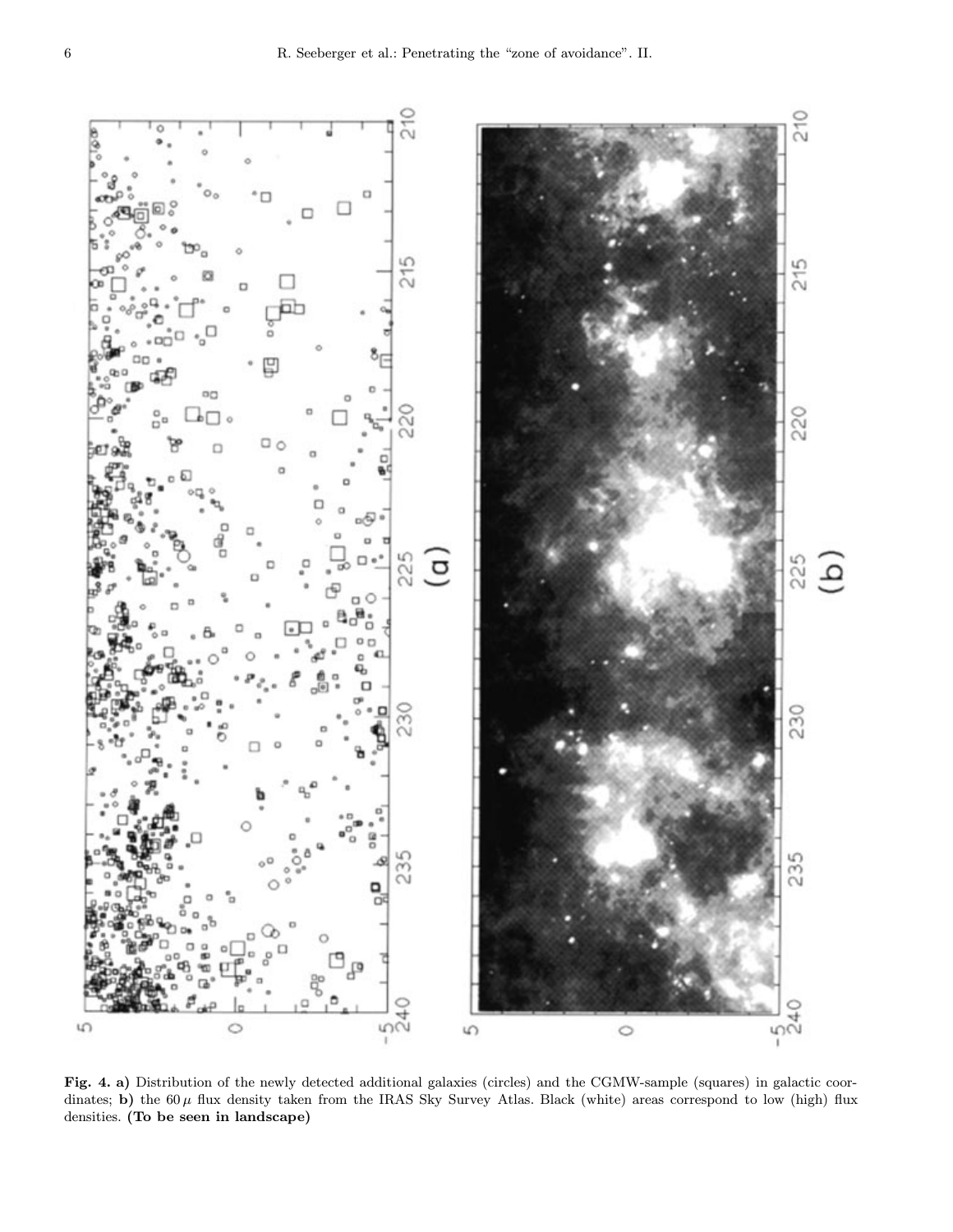

Fig. 4. a) Distribution of the newly detected additional galaxies (circles) and the CGMW-sample (squares) in galactic coordinates; b) the  $60 \mu$  flux density taken from the IRAS Sky Survey Atlas. Black (white) areas correspond to low (high) flux densities. (To be seen in landscape)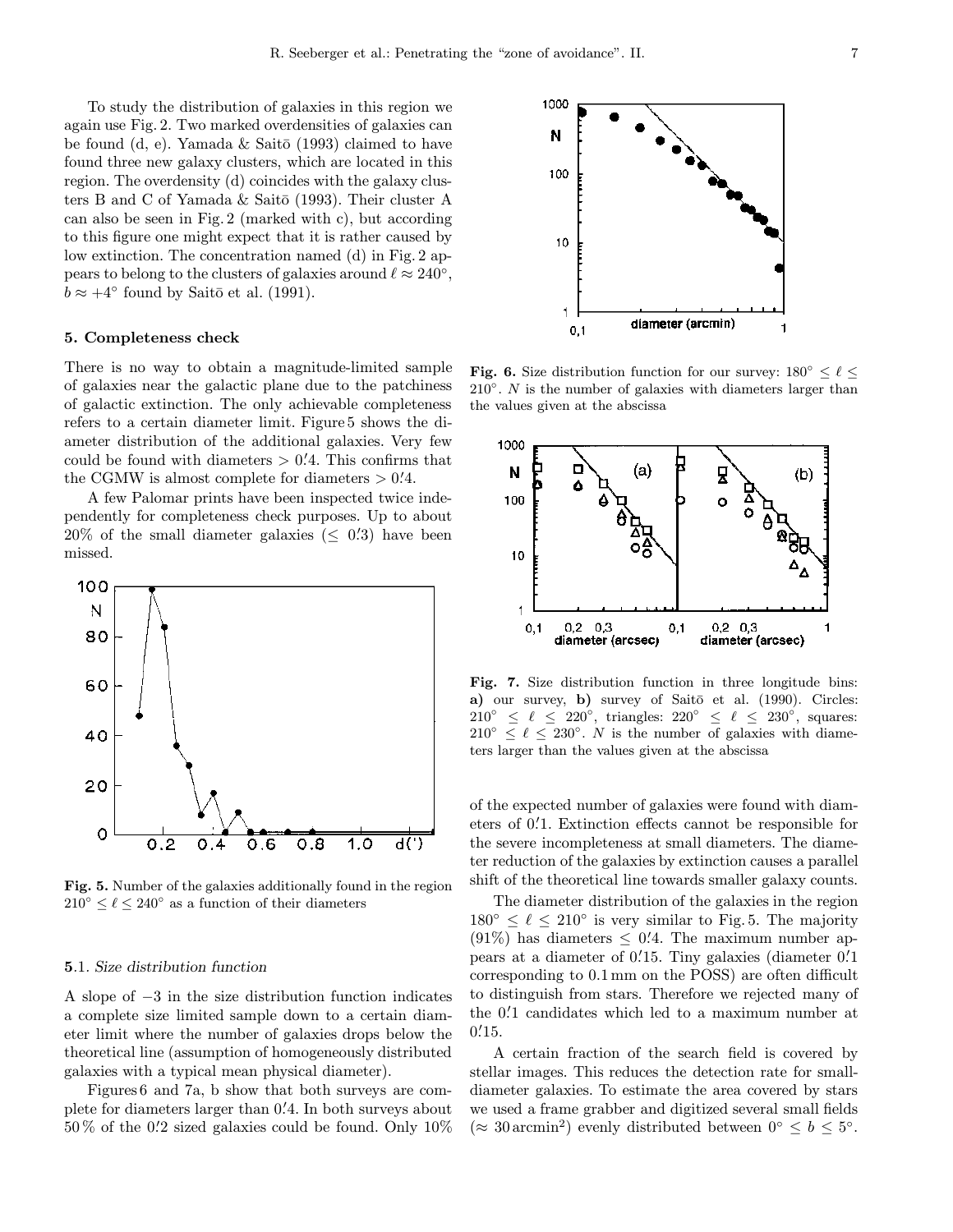To study the distribution of galaxies in this region we again use Fig. 2. Two marked overdensities of galaxies can be found (d, e). Yamada  $&$  Saitō (1993) claimed to have found three new galaxy clusters, which are located in this region. The overdensity (d) coincides with the galaxy clusters B and C of Yamada & Saitō (1993). Their cluster A can also be seen in Fig. 2 (marked with c), but according to this figure one might expect that it is rather caused by low extinction. The concentration named (d) in Fig. 2 appears to belong to the clusters of galaxies around  $\ell \approx 240^{\circ}$ ,  $b \approx +4^{\circ}$  found by Saitō et al. (1991).

## 5. Completeness check

There is no way to obtain a magnitude-limited sample of galaxies near the galactic plane due to the patchiness of galactic extinction. The only achievable completeness refers to a certain diameter limit. Figure 5 shows the diameter distribution of the additional galaxies. Very few could be found with diameters  $> 0.4$ . This confirms that the CGMW is almost complete for diameters  $> 0.4$ .

A few Palomar prints have been inspected twice independently for completeness check purposes. Up to about  $20\%$  of the small diameter galaxies ( $\leq 0.3$ ) have been missed.



Fig. 5. Number of the galaxies additionally found in the region  $210^{\circ} \leq \ell \leq 240^{\circ}$  as a function of their diameters

#### 5.1. Size distribution function

A slope of −3 in the size distribution function indicates a complete size limited sample down to a certain diameter limit where the number of galaxies drops below the theoretical line (assumption of homogeneously distributed galaxies with a typical mean physical diameter).

Figures 6 and 7a, b show that both surveys are complete for diameters larger than 0. 0 4. In both surveys about 50 % of the 0. 0 2 sized galaxies could be found. Only 10%



**Fig. 6.** Size distribution function for our survey:  $180^\circ \le \ell \le$  $210°$ . N is the number of galaxies with diameters larger than the values given at the abscissa



Fig. 7. Size distribution function in three longitude bins: a) our survey, b) survey of Saitō et al. (1990). Circles:  $210° \le \ell \le 220°$ , triangles:  $220° \le \ell \le 230°$ , squares:  $210^{\circ} \leq \ell \leq 230^{\circ}$ . N is the number of galaxies with diameters larger than the values given at the abscissa

of the expected number of galaxies were found with diameters of 0. 0 1. Extinction effects cannot be responsible for the severe incompleteness at small diameters. The diameter reduction of the galaxies by extinction causes a parallel shift of the theoretical line towards smaller galaxy counts.

The diameter distribution of the galaxies in the region  $180^\circ \leq \ell \leq 210^\circ$  is very similar to Fig. 5. The majority  $(91\%)$  has diameters  $\leq 0.4$ . The maximum number appears at a diameter of 0.15. Tiny galaxies (diameter 0.1 corresponding to 0.1 mm on the POSS) are often difficult to distinguish from stars. Therefore we rejected many of the 0. 0 1 candidates which led to a maximum number at  $0.15.$ 

A certain fraction of the search field is covered by stellar images. This reduces the detection rate for smalldiameter galaxies. To estimate the area covered by stars we used a frame grabber and digitized several small fields  $(\approx 30 \text{ arcmin}^2)$  evenly distributed between  $0^{\circ} \leq b \leq 5^{\circ}$ .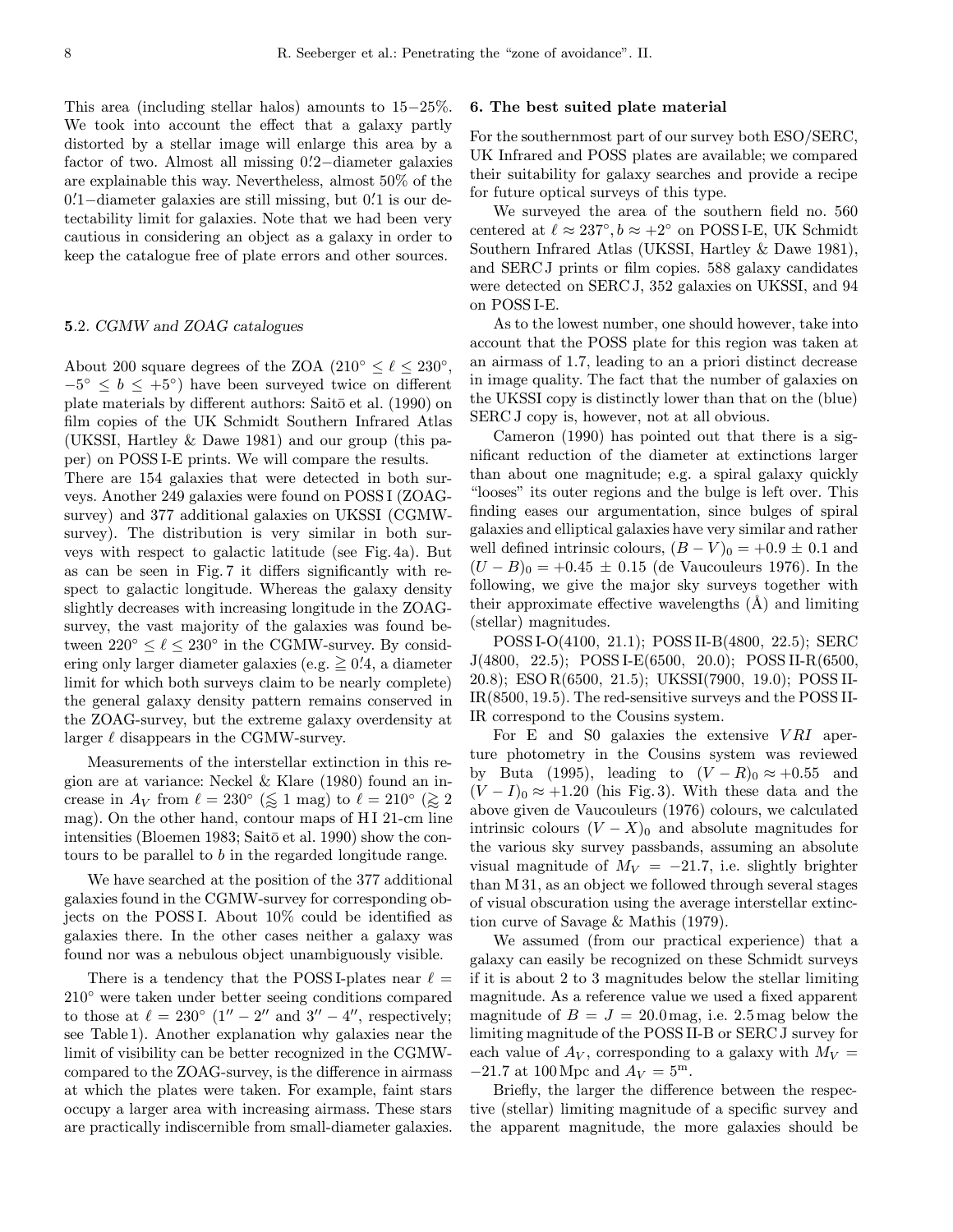This area (including stellar halos) amounts to 15−25%. We took into account the effect that a galaxy partly distorted by a stellar image will enlarge this area by a factor of two. Almost all missing 0. 0 2−diameter galaxies are explainable this way. Nevertheless, almost 50% of the 0. 0 1−diameter galaxies are still missing, but 0. 0 1 is our detectability limit for galaxies. Note that we had been very cautious in considering an object as a galaxy in order to keep the catalogue free of plate errors and other sources.

### 5.2. CGMW and ZOAG catalogues

About 200 square degrees of the ZOA ( $210^{\circ} \le \ell \le 230^{\circ}$ ,  $-5^\circ \leq b \leq +5^\circ$  have been surveyed twice on different plate materials by different authors: Saitō et al. (1990) on film copies of the UK Schmidt Southern Infrared Atlas (UKSSI, Hartley & Dawe 1981) and our group (this paper) on POSS I-E prints. We will compare the results.

There are 154 galaxies that were detected in both surveys. Another 249 galaxies were found on POSS I (ZOAGsurvey) and 377 additional galaxies on UKSSI (CGMWsurvey). The distribution is very similar in both surveys with respect to galactic latitude (see Fig. 4a). But as can be seen in Fig. 7 it differs significantly with respect to galactic longitude. Whereas the galaxy density slightly decreases with increasing longitude in the ZOAGsurvey, the vast majority of the galaxies was found between  $220^{\circ} \leq \ell \leq 230^{\circ}$  in the CGMW-survey. By considering only larger diameter galaxies (e.g.  $\geq 0.4$ , a diameter limit for which both surveys claim to be nearly complete) the general galaxy density pattern remains conserved in the ZOAG-survey, but the extreme galaxy overdensity at larger  $\ell$  disappears in the CGMW-survey.

Measurements of the interstellar extinction in this region are at variance: Neckel & Klare (1980) found an increase in  $A_V$  from  $\ell = 230^\circ$  ( $\lessapprox 1$  mag) to  $\ell = 210^\circ$  ( $\lessapprox 2$ ) mag). On the other hand, contour maps of H I 21-cm line intensities (Bloemen 1983; Saitō et al. 1990) show the contours to be parallel to b in the regarded longitude range.

We have searched at the position of the 377 additional galaxies found in the CGMW-survey for corresponding objects on the POSS I. About 10% could be identified as galaxies there. In the other cases neither a galaxy was found nor was a nebulous object unambiguously visible.

There is a tendency that the POSS I-plates near  $\ell$  = 210◦ were taken under better seeing conditions compared to those at  $\ell = 230°$  (1'' – 2'' and 3'' – 4'', respectively; see Table 1). Another explanation why galaxies near the limit of visibility can be better recognized in the CGMWcompared to the ZOAG-survey, is the difference in airmass at which the plates were taken. For example, faint stars occupy a larger area with increasing airmass. These stars are practically indiscernible from small-diameter galaxies.

## 6. The best suited plate material

For the southernmost part of our survey both ESO/SERC, UK Infrared and POSS plates are available; we compared their suitability for galaxy searches and provide a recipe for future optical surveys of this type.

We surveyed the area of the southern field no. 560 centered at  $\ell \approx 237^\circ, b \approx +2^\circ$  on POSS I-E, UK Schmidt Southern Infrared Atlas (UKSSI, Hartley & Dawe 1981), and SERC J prints or film copies. 588 galaxy candidates were detected on SERC J, 352 galaxies on UKSSI, and 94 on POSS I-E.

As to the lowest number, one should however, take into account that the POSS plate for this region was taken at an airmass of 1.7, leading to an a priori distinct decrease in image quality. The fact that the number of galaxies on the UKSSI copy is distinctly lower than that on the (blue) SERC J copy is, however, not at all obvious.

Cameron (1990) has pointed out that there is a significant reduction of the diameter at extinctions larger than about one magnitude; e.g. a spiral galaxy quickly "looses" its outer regions and the bulge is left over. This finding eases our argumentation, since bulges of spiral galaxies and elliptical galaxies have very similar and rather well defined intrinsic colours,  $(B - V)_0 = +0.9 \pm 0.1$  and  $(U - B)_0 = +0.45 \pm 0.15$  (de Vaucouleurs 1976). In the following, we give the major sky surveys together with their approximate effective wavelengths  $(A)$  and limiting (stellar) magnitudes.

POSS I-O(4100, 21.1); POSS II-B(4800, 22.5); SERC J(4800, 22.5); POSS I-E(6500, 20.0); POSS II-R(6500, 20.8); ESO R(6500, 21.5); UKSSI(7900, 19.0); POSS II-IR(8500, 19.5). The red-sensitive surveys and the POSS II-IR correspond to the Cousins system.

For E and S0 galaxies the extensive  $VRI$  aperture photometry in the Cousins system was reviewed by Buta (1995), leading to  $(V - R)_0 \approx +0.55$  and  $(V-I)_0 \approx +1.20$  (his Fig. 3). With these data and the above given de Vaucouleurs (1976) colours, we calculated intrinsic colours  $(V - X)_0$  and absolute magnitudes for the various sky survey passbands, assuming an absolute visual magnitude of  $M_V = -21.7$ , i.e. slightly brighter than M 31, as an object we followed through several stages of visual obscuration using the average interstellar extinction curve of Savage & Mathis (1979).

We assumed (from our practical experience) that a galaxy can easily be recognized on these Schmidt surveys if it is about 2 to 3 magnitudes below the stellar limiting magnitude. As a reference value we used a fixed apparent magnitude of  $B = J = 20.0$  mag, i.e. 2.5 mag below the limiting magnitude of the POSS II-B or SERC J survey for each value of  $A_V$ , corresponding to a galaxy with  $M_V =$  $-21.7$  at 100 Mpc and  $A_V = 5^{\rm m}$ .

Briefly, the larger the difference between the respective (stellar) limiting magnitude of a specific survey and the apparent magnitude, the more galaxies should be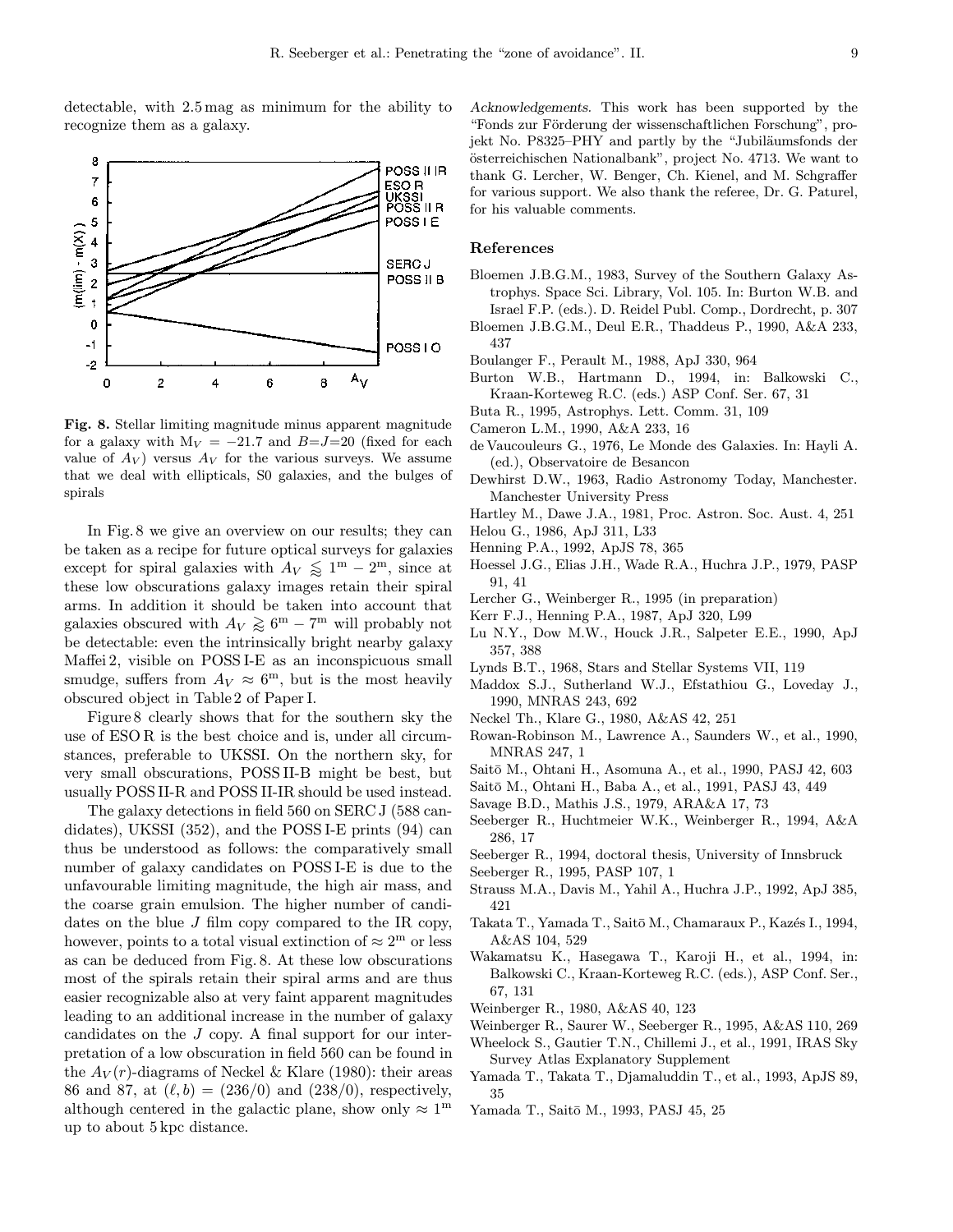detectable, with 2.5 mag as minimum for the ability to recognize them as a galaxy.



Fig. 8. Stellar limiting magnitude minus apparent magnitude for a galaxy with  $M_V = -21.7$  and  $B = J = 20$  (fixed for each value of  $A_V$ ) versus  $A_V$  for the various surveys. We assume that we deal with ellipticals, S0 galaxies, and the bulges of spirals

In Fig. 8 we give an overview on our results; they can be taken as a recipe for future optical surveys for galaxies except for spiral galaxies with  $A_V \lessapprox 1^{\text{m}} - 2^{\text{m}}$ , since at these low obscurations galaxy images retain their spiral arms. In addition it should be taken into account that galaxies obscured with  $A_V \gtrsim 6^{\rm m} - 7^{\rm m}$  will probably not be detectable: even the intrinsically bright nearby galaxy Maffei 2, visible on POSS I-E as an inconspicuous small smudge, suffers from  $A_V \approx 6^{\text{m}}$ , but is the most heavily obscured object in Table 2 of Paper I.

Figure 8 clearly shows that for the southern sky the use of ESO R is the best choice and is, under all circumstances, preferable to UKSSI. On the northern sky, for very small obscurations, POSS II-B might be best, but usually POSS II-R and POSS II-IR should be used instead.

The galaxy detections in field 560 on SERC J (588 candidates), UKSSI (352), and the POSS I-E prints (94) can thus be understood as follows: the comparatively small number of galaxy candidates on POSS I-E is due to the unfavourable limiting magnitude, the high air mass, and the coarse grain emulsion. The higher number of candidates on the blue  $J$  film copy compared to the IR copy, however, points to a total visual extinction of  $\approx 2^{\rm m}$  or less as can be deduced from Fig. 8. At these low obscurations most of the spirals retain their spiral arms and are thus easier recognizable also at very faint apparent magnitudes leading to an additional increase in the number of galaxy candidates on the J copy. A final support for our interpretation of a low obscuration in field 560 can be found in the  $A_V(r)$ -diagrams of Neckel & Klare (1980): their areas 86 and 87, at  $(\ell, b) = (236/0)$  and  $(238/0)$ , respectively, although centered in the galactic plane, show only  $\approx 1^{\text{m}}$ up to about 5 kpc distance.

Acknowledgements. This work has been supported by the "Fonds zur Förderung der wissenschaftlichen Forschung", projekt No. P8325–PHY and partly by the "Jubiläumsfonds der österreichischen Nationalbank", project No. 4713. We want to thank G. Lercher, W. Benger, Ch. Kienel, and M. Schgraffer for various support. We also thank the referee, Dr. G. Paturel, for his valuable comments.

## References

- Bloemen J.B.G.M., 1983, Survey of the Southern Galaxy Astrophys. Space Sci. Library, Vol. 105. In: Burton W.B. and Israel F.P. (eds.). D. Reidel Publ. Comp., Dordrecht, p. 307
- Bloemen J.B.G.M., Deul E.R., Thaddeus P., 1990, A&A 233, 437
- Boulanger F., Perault M., 1988, ApJ 330, 964
- Burton W.B., Hartmann D., 1994, in: Balkowski C., Kraan-Korteweg R.C. (eds.) ASP Conf. Ser. 67, 31
- Buta R., 1995, Astrophys. Lett. Comm. 31, 109
- Cameron L.M., 1990, A&A 233, 16
- de Vaucouleurs G., 1976, Le Monde des Galaxies. In: Hayli A. (ed.), Observatoire de Besancon
- Dewhirst D.W., 1963, Radio Astronomy Today, Manchester. Manchester University Press
- Hartley M., Dawe J.A., 1981, Proc. Astron. Soc. Aust. 4, 251
- Helou G., 1986, ApJ 311, L33
- Henning P.A., 1992, ApJS 78, 365
- Hoessel J.G., Elias J.H., Wade R.A., Huchra J.P., 1979, PASP 91, 41
- Lercher G., Weinberger R., 1995 (in preparation)
- Kerr F.J., Henning P.A., 1987, ApJ 320, L99
- Lu N.Y., Dow M.W., Houck J.R., Salpeter E.E., 1990, ApJ 357, 388
- Lynds B.T., 1968, Stars and Stellar Systems VII, 119
- Maddox S.J., Sutherland W.J., Efstathiou G., Loveday J., 1990, MNRAS 243, 692
- Neckel Th., Klare G., 1980, A&AS 42, 251
- Rowan-Robinson M., Lawrence A., Saunders W., et al., 1990, MNRAS 247, 1
- Saitō M., Ohtani H., Asomuna A., et al., 1990, PASJ 42, 603
- Saitō M., Ohtani H., Baba A., et al., 1991, PASJ 43, 449
- Savage B.D., Mathis J.S., 1979, ARA&A 17, 73
- Seeberger R., Huchtmeier W.K., Weinberger R., 1994, A&A 286, 17
- Seeberger R., 1994, doctoral thesis, University of Innsbruck
- Seeberger R., 1995, PASP 107, 1
- Strauss M.A., Davis M., Yahil A., Huchra J.P., 1992, ApJ 385, 421
- Takata T., Yamada T., Saitō M., Chamaraux P., Kazés I., 1994, A&AS 104, 529
- Wakamatsu K., Hasegawa T., Karoji H., et al., 1994, in: Balkowski C., Kraan-Korteweg R.C. (eds.), ASP Conf. Ser., 67, 131
- Weinberger R., 1980, A&AS 40, 123
- Weinberger R., Saurer W., Seeberger R., 1995, A&AS 110, 269
- Wheelock S., Gautier T.N., Chillemi J., et al., 1991, IRAS Sky Survey Atlas Explanatory Supplement
- Yamada T., Takata T., Djamaluddin T., et al., 1993, ApJS 89, 35
- Yamada T., Saitō M., 1993, PASJ 45, 25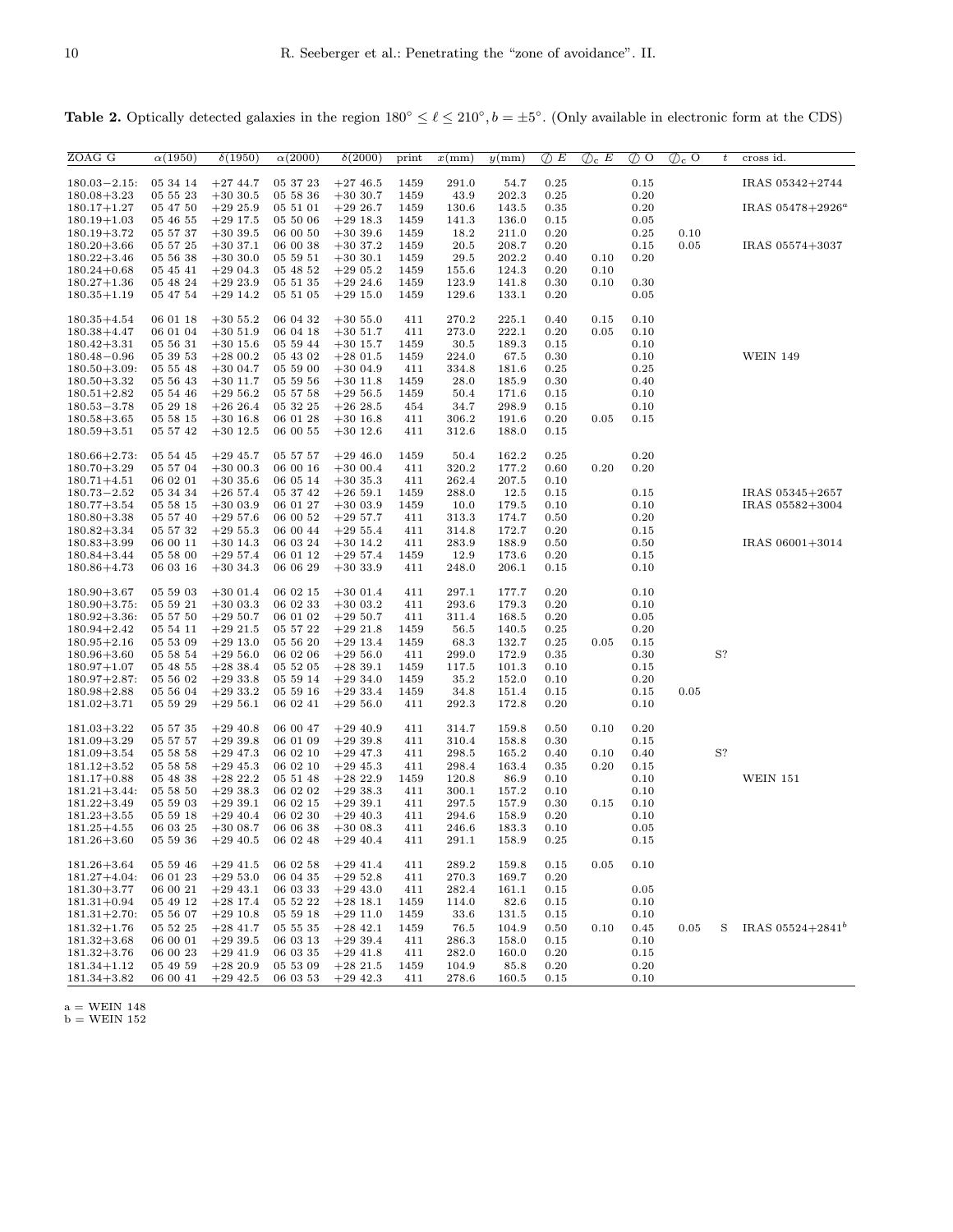| ZOAG G                               | $\alpha(1950)$                 | $\delta(1950)$           | $\alpha(2000)$       | $\delta(2000)$            | print        | $x \, \text{mm}$ | $y$ (mm)       | $\oslash$ E  | $\mathcal{D}_c$ E | $\oslash$ O  | $\mathcal{D}_c$ O | $\boldsymbol{t}$ | cross id.           |
|--------------------------------------|--------------------------------|--------------------------|----------------------|---------------------------|--------------|------------------|----------------|--------------|-------------------|--------------|-------------------|------------------|---------------------|
| $180.03 - 2.15$ :                    | 05 34 14                       | $+2744.7$                | 05 37 23             | $+2746.5$                 | 1459         | 291.0            | 54.7           | 0.25         |                   | 0.15         |                   |                  | IRAS 05342+2744     |
| $180.08 + 3.23$                      | 05 55 23                       | $+3030.5$                | 05 58 36             | $+3030.7$                 | 1459         | 43.9             | 202.3          | 0.25         |                   | 0.20         |                   |                  |                     |
| $180.17 + 1.27$                      | 05 47 50                       | $+2925.9$                | 05 51 01             | $+2926.7$                 | 1459         | 130.6            | 143.5          | 0.35         |                   | 0.20         |                   |                  | IRAS $05478+2926^a$ |
| $180.19 + 1.03$                      | 05 46 55                       | $+29$ 17.5               | 05 50 06             | $+29$ 18.3                | 1459         | 141.3            | 136.0          | 0.15         |                   | 0.05         |                   |                  |                     |
| $180.19 + 3.72$                      | 05 57 37                       | $+3039.5$                | 06 00 50             | $+3039.6$                 | 1459         | 18.2             | 211.0          | 0.20         |                   | 0.25         | 0.10              |                  |                     |
| $180.20 + 3.66$<br>$180.22 + 3.46$   | 05 57 25<br>05 56 38           | $+3037.1$<br>$+3030.0$   | 06 00 38<br>05 59 51 | $+3037.2$<br>$+3030.1$    | 1459<br>1459 | 20.5<br>29.5     | 208.7<br>202.2 | 0.20<br>0.40 | 0.10              | 0.15<br>0.20 | 0.05              |                  | IRAS 05574+3037     |
| $180.24 + 0.68$                      | 05 45 41                       | $+2904.3$                | 05 48 52             | $+2905.2$                 | 1459         | 155.6            | 124.3          | 0.20         | 0.10              |              |                   |                  |                     |
| $180.27 + 1.36$                      | 05 48 24                       | $+2923.9$                | 05 51 35             | $+2924.6$                 | 1459         | 123.9            | 141.8          | 0.30         | 0.10              | 0.30         |                   |                  |                     |
| $180.35 + 1.19$                      | 05 47 54                       | $+2914.2$                | 05 51 05             | $+29$ 15.0                | 1459         | 129.6            | 133.1          | 0.20         |                   | 0.05         |                   |                  |                     |
|                                      |                                |                          |                      |                           |              |                  |                |              |                   |              |                   |                  |                     |
| $180.35 + 4.54$<br>$180.38 + 4.47$   | 06 01 18<br>06 01 04           | $+305.2$                 | 06 04 32             | $+305.0$                  | 411          | 270.2            | 225.1          | 0.40         | 0.15              | 0.10         |                   |                  |                     |
| $180.42 + 3.31$                      | 05 56 31                       | $+3051.9$<br>$+30$ 15.6  | 06 04 18<br>05 59 44 | $+30\;51.7$<br>$+30$ 15.7 | 411<br>1459  | 273.0<br>30.5    | 222.1<br>189.3 | 0.20<br>0.15 | 0.05              | 0.10<br>0.10 |                   |                  |                     |
| $180.48 - 0.96$                      | 05 39 53                       | $+2800.2$                | 05 43 02             | $+2801.5$                 | 1459         | 224.0            | 67.5           | 0.30         |                   | 0.10         |                   |                  | <b>WEIN 149</b>     |
| $180.50 + 3.09$ :                    | 05 55 48                       | $+3004.7$                | 05 59 00             | $+3004.9$                 | 411          | 334.8            | 181.6          | 0.25         |                   | 0.25         |                   |                  |                     |
| $180.50 + 3.32$                      | 05 56 43                       | $+30$ 11.7               | 05 59 56             | $+30$ 11.8                | 1459         | 28.0             | 185.9          | 0.30         |                   | 0.40         |                   |                  |                     |
| $180.51 + 2.82$                      | 05 54 46                       | $+2956.2$                | 05 57 58             | $+2956.5$                 | 1459         | 50.4             | 171.6          | 0.15         |                   | 0.10         |                   |                  |                     |
| $180.53 - 3.78$                      | 05 29 18                       | $+2626.4$                | 05 32 25             | $+2628.5$                 | 454          | 34.7             | 298.9          | 0.15         |                   | 0.10         |                   |                  |                     |
| $180.58 + 3.65$<br>$180.59 + 3.51$   | 05 58 15<br>05 57 42           | $+30$ 16.8<br>$+30$ 12.5 | 06 01 28<br>06 00 55 | $+30$ 16.8<br>$+30$ 12.6  | 411<br>411   | 306.2<br>312.6   | 191.6<br>188.0 | 0.20<br>0.15 | 0.05              | 0.15         |                   |                  |                     |
|                                      |                                |                          |                      |                           |              |                  |                |              |                   |              |                   |                  |                     |
| $180.66 + 2.73$ :                    | 05 54 45                       | $+2945.7$                | 05 57 57             | $+2946.0$                 | 1459         | 50.4             | 162.2          | 0.25         |                   | 0.20         |                   |                  |                     |
| $180.70 + 3.29$                      | 05 57 04                       | $+3000.3$                | 06 00 16             | $+3000.4$                 | 411          | 320.2            | 177.2          | 0.60         | 0.20              | 0.20         |                   |                  |                     |
| $180.71 + 4.51$                      | 06 02 01                       | $+3035.6$                | 06 05 14             | $+3035.3$                 | 411          | 262.4            | 207.5          | 0.10         |                   |              |                   |                  |                     |
| $180.73 - 2.52$                      | 05 34 34                       | $+26$ 57.4               | 05 37 42             | $+2659.1$                 | 1459         | 288.0            | 12.5           | 0.15         |                   | 0.15         |                   |                  | IRAS 05345+2657     |
| $180.77 + 3.54$<br>$180.80 + 3.38$   | 05 58 15<br>05 57 40           | $+3003.9$<br>$+2957.6$   | 06 01 27<br>06 00 52 | $+3003.9$<br>$+295.7$     | 1459         | 10.0<br>313.3    | 179.5<br>174.7 | 0.10         |                   | 0.10<br>0.20 |                   |                  | IRAS 05582+3004     |
| $180.82 + 3.34$                      | 05 57 32                       | $+295.3$                 | 06 00 44             | $+295.4$                  | 411<br>411   | 314.8            | 172.7          | 0.50<br>0.20 |                   | 0.15         |                   |                  |                     |
| $180.83 + 3.99$                      | 06 00 11                       | $+30$ 14.3               | 06 03 24             | $+30$ 14.2                | 411          | 283.9            | 188.9          | 0.50         |                   | 0.50         |                   |                  | IRAS 06001+3014     |
| $180.84 + 3.44$                      | 05 58 00                       | $+2957.4$                | 06 01 12             | $+2957.4$                 | 1459         | 12.9             | 173.6          | 0.20         |                   | 0.15         |                   |                  |                     |
| $180.86 + 4.73$                      | 06 03 16                       | $+3034.3$                | 06 06 29             | $+3033.9$                 | 411          | 248.0            | 206.1          | 0.15         |                   | 0.10         |                   |                  |                     |
| $180.90 + 3.67$                      |                                |                          |                      |                           |              |                  |                |              |                   |              |                   |                  |                     |
| $180.90 + 3.75$ :                    | 05 59 03<br>05 59 21           | $+3001.4$<br>$+3003.3$   | 06 02 15<br>06 02 33 | $+3001.4$<br>$+3003.2$    | 411<br>411   | 297.1<br>293.6   | 177.7<br>179.3 | 0.20<br>0.20 |                   | 0.10<br>0.10 |                   |                  |                     |
| $180.92 + 3.36$ :                    | 05 57 50                       | $+2950.7$                | 06 01 02             | $+2950.7$                 | 411          | 311.4            | 168.5          | 0.20         |                   | 0.05         |                   |                  |                     |
| $180.94 + 2.42$                      | 05 54 11                       | $+2921.5$                | 05 57 22             | $+2921.8$                 | 1459         | 56.5             | 140.5          | 0.25         |                   | 0.20         |                   |                  |                     |
| $180.95 + 2.16$                      | 05 53 09                       | $+29$ 13.0               | 05 56 20             | $+29$ 13.4                | 1459         | 68.3             | 132.7          | 0.25         | 0.05              | 0.15         |                   |                  |                     |
| $180.96 + 3.60$                      | 05 58 54                       | $+2956.0$                | 06 02 06             | $+2956.0$                 | 411          | 299.0            | 172.9          | 0.35         |                   | 0.30         |                   | S?               |                     |
| $180.97 + 1.07$<br>$180.97 + 2.87$ : | 05 48 55<br>05 56 02           | $+2838.4$<br>$+2933.8$   | 05 52 05<br>05 59 14 | $+2839.1$<br>$+2934.0$    | 1459<br>1459 | 117.5<br>35.2    | 101.3<br>152.0 | 0.10<br>0.10 |                   | 0.15<br>0.20 |                   |                  |                     |
| $180.98 + 2.88$                      | 05 56 04                       | $+2933.2$                | 05 59 16             | $+2933.4$                 | 1459         | 34.8             | 151.4          | 0.15         |                   | 0.15         | 0.05              |                  |                     |
| $181.02 + 3.71$                      | 05 59 29                       | $+2956.1$                | 06 02 41             | $+2956.0$                 | 411          | 292.3            | 172.8          | 0.20         |                   | 0.10         |                   |                  |                     |
|                                      |                                |                          |                      |                           |              |                  |                |              |                   |              |                   |                  |                     |
| $181.03 + 3.22$                      | 05 57 35                       | $+2940.8$                | 06 00 47             | $+2940.9$                 | 411          | 314.7            | 159.8          | 0.50         | 0.10              | 0.20         |                   |                  |                     |
| $181.09 + 3.29$                      | 05 57 57                       | $+2939.8$<br>$+2947.3$   | 06 01 09             | $+293.8$                  | 411          | 310.4            | 158.8          | 0.30         |                   | 0.15         |                   | S?               |                     |
| $181.09 + 3.54$<br>$181.12 + 3.52$   | 05 58 58<br>05 58 58           | $+2945.3$                | 06 02 10<br>06 02 10 | $+29$ 47.3<br>$+2945.3$   | 411<br>411   | 298.5<br>298.4   | 165.2<br>163.4 | 0.40<br>0.35 | 0.10<br>0.20      | 0.40<br>0.15 |                   |                  |                     |
| $181.17 + 0.88$                      | 05 48 38                       | $+2822.2$                | 05 51 48             | $+2822.9$                 | 1459         | 120.8            | 86.9           | 0.10         |                   | 0.10         |                   |                  | <b>WEIN 151</b>     |
| $181.21 + 3.44$ :                    | 05 58 50                       | $+2938.3$                | 06 02 02             | $+2938.3$                 | 411          | 300.1            | 157.2          | 0.10         |                   | 0.10         |                   |                  |                     |
| $181.22 + 3.49$                      | 05 59 03                       | $+293.9.1$               | 06 02 15             | $+293.1$                  | 411          | 297.5            | 157.9          | 0.30         | 0.15              | 0.10         |                   |                  |                     |
| $181.23 + 3.55$                      | 05 59 18                       | $+2940.4$                | 06 02 30             | $+2940.3$                 | 411          | 294.6            | 158.9          | 0.20         |                   | 0.10         |                   |                  |                     |
| $181.25 + 4.55$                      | 06 03 25                       | $+3008.7$                | 06 06 38             | $+3008.3$                 | 411          | 246.6            | 183.3          | 0.10         |                   | 0.05         |                   |                  |                     |
| $181.26 + 3.60$                      | $05\;59\;36\quad \, +29\;40.5$ |                          | 06 02 48             | $+2940.4$                 | 411          | 291.1            | 158.9          | 0.25         |                   | 0.15         |                   |                  |                     |
| $181.26 + 3.64$                      | 05 59 46                       | $+2941.5$                | 06 02 58             | $+2941.4$                 | 411          | 289.2            | 159.8          | 0.15         | 0.05              | 0.10         |                   |                  |                     |
| $181.27 + 4.04$ :                    | 06 01 23                       | $+2953.0$                | 06 04 35             | $+2952.8$                 | 411          | 270.3            | 169.7          | 0.20         |                   |              |                   |                  |                     |
| $181.30 + 3.77$                      | 06 00 21                       | $+2943.1$                | 06 03 33             | $+2943.0$                 | 411          | 282.4            | 161.1          | 0.15         |                   | 0.05         |                   |                  |                     |
| $181.31 + 0.94$                      | 05 49 12                       | $+28$ 17.4               | 05 52 22             | $+28$ 18.1                | 1459         | 114.0            | 82.6           | 0.15         |                   | 0.10         |                   |                  |                     |
| $181.31 + 2.70$ :                    | 05 56 07                       | $+2910.8$                | 05 59 18             | $+29$ 11.0                | 1459         | 33.6             | 131.5          | 0.15         |                   | 0.10         |                   |                  |                     |
| $181.32 + 1.76$<br>$181.32 + 3.68$   | 05 52 25<br>06 00 01           | $+2841.7$<br>$+2939.5$   | 05 55 35<br>06 03 13 | $+2842.1$<br>$+293.9.4$   | 1459<br>411  | 76.5<br>286.3    | 104.9<br>158.0 | 0.50<br>0.15 | 0.10              | 0.45<br>0.10 | 0.05              | S                | IRAS $05524+2841^b$ |
| $181.32 + 3.76$                      | 06 00 23                       | $+2941.9$                | 06 03 35             | $+29$ 41.8                | 411          | 282.0            | 160.0          | 0.20         |                   | 0.15         |                   |                  |                     |
| $181.34 + 1.12$                      | 05 49 59                       | $+2820.9$                | 05 53 09             | $+2821.5$                 | 1459         | 104.9            | 85.8           | 0.20         |                   | 0.20         |                   |                  |                     |
| $181.34 + 3.82$                      | 06 00 41                       | $+29$ 42.5               | 06 03 53             | $+29$ 42.3                | 411          | 278.6            | 160.5          | 0.15         |                   | 0.10         |                   |                  |                     |

Table 2. Optically detected galaxies in the region  $180^\circ \leq \ell \leq 210^\circ$ ,  $b = \pm 5^\circ$ . (Only available in electronic form at the CDS)

 $a = WEIN 148$  $\rm b = \rm W EIN$ 152